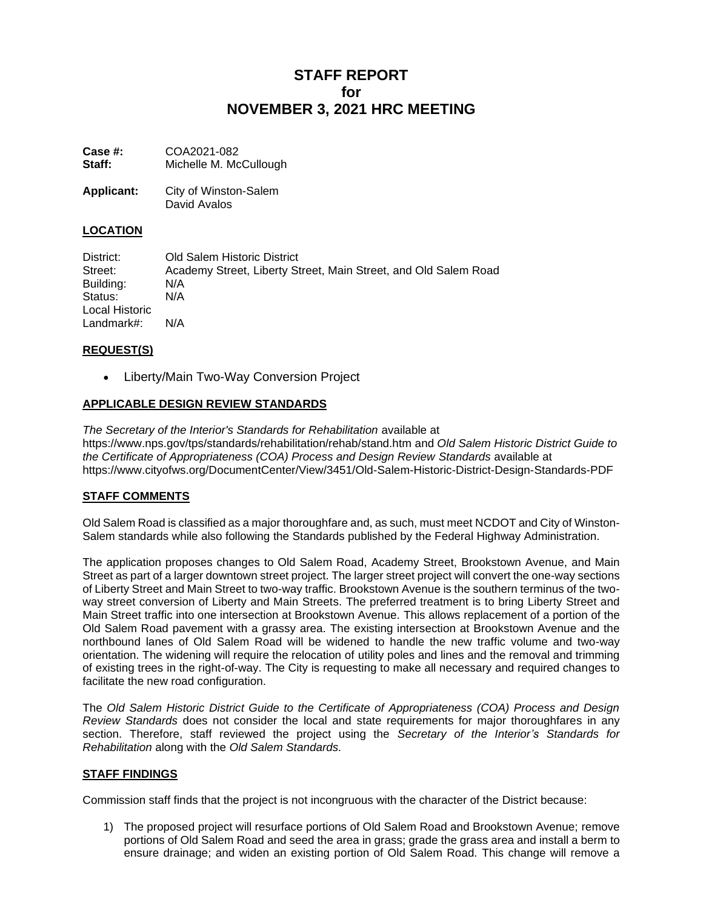# **STAFF REPORT for NOVEMBER 3, 2021 HRC MEETING**

**Case #:** COA2021-082 Staff: Michelle M. McCullough

**Applicant:** City of Winston-Salem David Avalos

## **LOCATION**

District: Old Salem Historic District Street: Academy Street, Liberty Street, Main Street, and Old Salem Road Building: N/A Status: N/A Local Historic Landmark#: N/A

# **REQUEST(S)**

• Liberty/Main Two-Way Conversion Project

# **APPLICABLE DESIGN REVIEW STANDARDS**

*The Secretary of the Interior's Standards for Rehabilitation* available at https://www.nps.gov/tps/standards/rehabilitation/rehab/stand.htm and *Old Salem Historic District Guide to the Certificate of Appropriateness (COA) Process and Design Review Standards* available at https://www.cityofws.org/DocumentCenter/View/3451/Old-Salem-Historic-District-Design-Standards-PDF

## **STAFF COMMENTS**

Old Salem Road is classified as a major thoroughfare and, as such, must meet NCDOT and City of Winston-Salem standards while also following the Standards published by the Federal Highway Administration.

The application proposes changes to Old Salem Road, Academy Street, Brookstown Avenue, and Main Street as part of a larger downtown street project. The larger street project will convert the one-way sections of Liberty Street and Main Street to two-way traffic. Brookstown Avenue is the southern terminus of the twoway street conversion of Liberty and Main Streets. The preferred treatment is to bring Liberty Street and Main Street traffic into one intersection at Brookstown Avenue. This allows replacement of a portion of the Old Salem Road pavement with a grassy area. The existing intersection at Brookstown Avenue and the northbound lanes of Old Salem Road will be widened to handle the new traffic volume and two-way orientation. The widening will require the relocation of utility poles and lines and the removal and trimming of existing trees in the right-of-way. The City is requesting to make all necessary and required changes to facilitate the new road configuration.

The *Old Salem Historic District Guide to the Certificate of Appropriateness (COA) Process and Design Review Standards* does not consider the local and state requirements for major thoroughfares in any section. Therefore, staff reviewed the project using the *Secretary of the Interior's Standards for Rehabilitation* along with the *Old Salem Standards.*

## **STAFF FINDINGS**

Commission staff finds that the project is not incongruous with the character of the District because:

1) The proposed project will resurface portions of Old Salem Road and Brookstown Avenue; remove portions of Old Salem Road and seed the area in grass; grade the grass area and install a berm to ensure drainage; and widen an existing portion of Old Salem Road. This change will remove a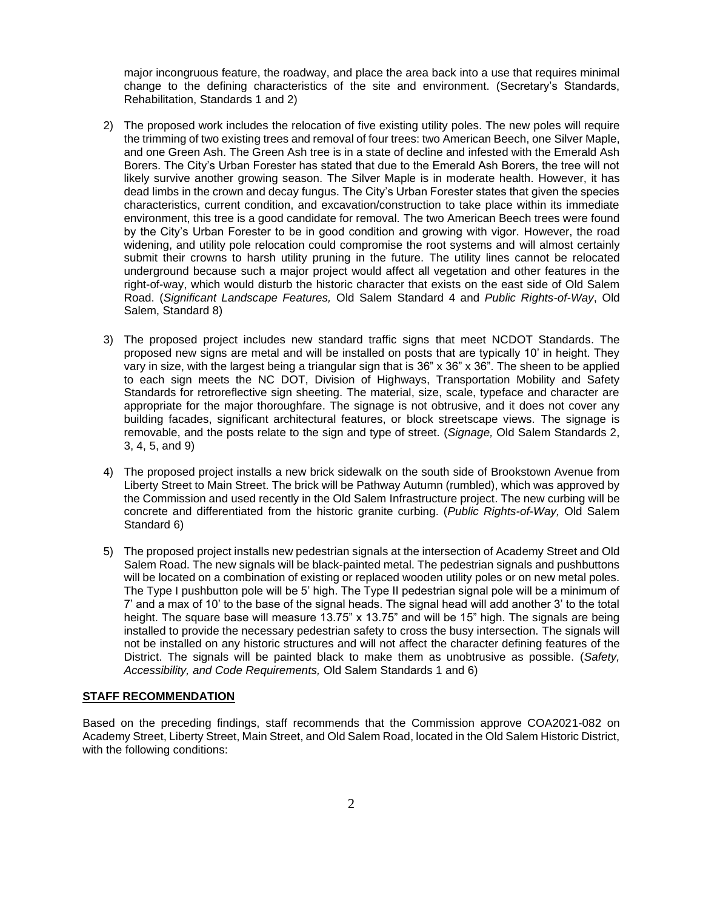major incongruous feature, the roadway, and place the area back into a use that requires minimal change to the defining characteristics of the site and environment. (Secretary's Standards, Rehabilitation, Standards 1 and 2)

- 2) The proposed work includes the relocation of five existing utility poles. The new poles will require the trimming of two existing trees and removal of four trees: two American Beech, one Silver Maple, and one Green Ash. The Green Ash tree is in a state of decline and infested with the Emerald Ash Borers. The City's Urban Forester has stated that due to the Emerald Ash Borers, the tree will not likely survive another growing season. The Silver Maple is in moderate health. However, it has dead limbs in the crown and decay fungus. The City's Urban Forester states that given the species characteristics, current condition, and excavation/construction to take place within its immediate environment, this tree is a good candidate for removal. The two American Beech trees were found by the City's Urban Forester to be in good condition and growing with vigor. However, the road widening, and utility pole relocation could compromise the root systems and will almost certainly submit their crowns to harsh utility pruning in the future. The utility lines cannot be relocated underground because such a major project would affect all vegetation and other features in the right-of-way, which would disturb the historic character that exists on the east side of Old Salem Road. (*Significant Landscape Features,* Old Salem Standard 4 and *Public Rights-of-Way*, Old Salem, Standard 8)
- 3) The proposed project includes new standard traffic signs that meet NCDOT Standards. The proposed new signs are metal and will be installed on posts that are typically 10' in height. They vary in size, with the largest being a triangular sign that is 36" x 36" x 36". The sheen to be applied to each sign meets the NC DOT, Division of Highways, Transportation Mobility and Safety Standards for retroreflective sign sheeting. The material, size, scale, typeface and character are appropriate for the major thoroughfare. The signage is not obtrusive, and it does not cover any building facades, significant architectural features, or block streetscape views. The signage is removable, and the posts relate to the sign and type of street. (*Signage,* Old Salem Standards 2, 3, 4, 5, and 9)
- 4) The proposed project installs a new brick sidewalk on the south side of Brookstown Avenue from Liberty Street to Main Street. The brick will be Pathway Autumn (rumbled), which was approved by the Commission and used recently in the Old Salem Infrastructure project. The new curbing will be concrete and differentiated from the historic granite curbing. (*Public Rights-of-Way,* Old Salem Standard 6)
- 5) The proposed project installs new pedestrian signals at the intersection of Academy Street and Old Salem Road. The new signals will be black-painted metal. The pedestrian signals and pushbuttons will be located on a combination of existing or replaced wooden utility poles or on new metal poles. The Type I pushbutton pole will be 5' high. The Type II pedestrian signal pole will be a minimum of 7' and a max of 10' to the base of the signal heads. The signal head will add another 3' to the total height. The square base will measure 13.75" x 13.75" and will be 15" high. The signals are being installed to provide the necessary pedestrian safety to cross the busy intersection. The signals will not be installed on any historic structures and will not affect the character defining features of the District. The signals will be painted black to make them as unobtrusive as possible. (*Safety, Accessibility, and Code Requirements,* Old Salem Standards 1 and 6)

#### **STAFF RECOMMENDATION**

Based on the preceding findings, staff recommends that the Commission approve COA2021-082 on Academy Street, Liberty Street, Main Street, and Old Salem Road, located in the Old Salem Historic District, with the following conditions: